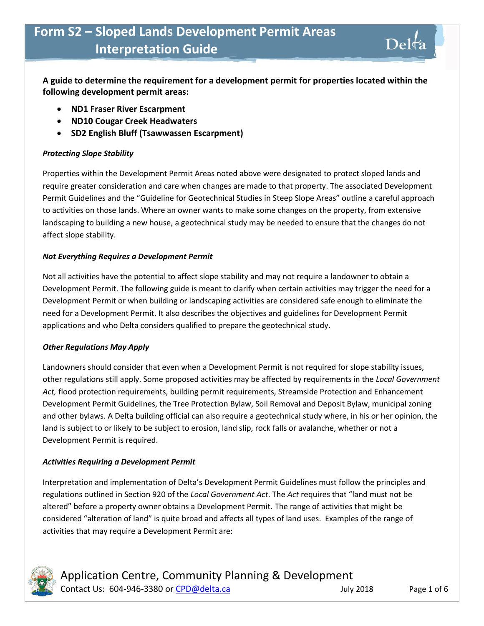**A guide to determine the requirement for a development permit for properties located within the following development permit areas:**

- **ND1 Fraser River Escarpment**
- **ND10 Cougar Creek Headwaters**
- **SD2 English Bluff (Tsawwassen Escarpment)**

#### *Protecting Slope Stability*

Properties within the Development Permit Areas noted above were designated to protect sloped lands and require greater consideration and care when changes are made to that property. The associated Development Permit Guidelines and the "Guideline for Geotechnical Studies in Steep Slope Areas" outline a careful approach to activities on those lands. Where an owner wants to make some changes on the property, from extensive landscaping to building a new house, a geotechnical study may be needed to ensure that the changes do not affect slope stability.

#### *Not Everything Requires a Development Permit*

Not all activities have the potential to affect slope stability and may not require a landowner to obtain a Development Permit. The following guide is meant to clarify when certain activities may trigger the need for a Development Permit or when building or landscaping activities are considered safe enough to eliminate the need for a Development Permit. It also describes the objectives and guidelines for Development Permit applications and who Delta considers qualified to prepare the geotechnical study.

#### *Other Regulations May Apply*

Landowners should consider that even when a Development Permit is not required for slope stability issues, other regulations still apply. Some proposed activities may be affected by requirements in the *Local Government Act,* flood protection requirements, building permit requirements, Streamside Protection and Enhancement Development Permit Guidelines, the Tree Protection Bylaw, Soil Removal and Deposit Bylaw, municipal zoning and other bylaws. A Delta building official can also require a geotechnical study where, in his or her opinion, the land is subject to or likely to be subject to erosion, land slip, rock falls or avalanche, whether or not a Development Permit is required.

#### *Activities Requiring a Development Permit*

Interpretation and implementation of Delta's Development Permit Guidelines must follow the principles and regulations outlined in Section 920 of the *Local Government Act*. The *Act* requires that "land must not be altered" before a property owner obtains a Development Permit. The range of activities that might be considered "alteration of land" is quite broad and affects all types of land uses. Examples of the range of activities that may require a Development Permit are:



Delta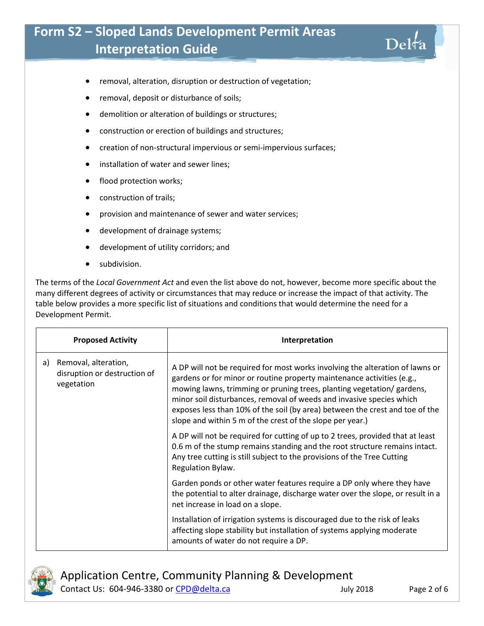- removal, alteration, disruption or destruction of vegetation;
- removal, deposit or disturbance of soils;
- demolition or alteration of buildings or structures;
- construction or erection of buildings and structures;
- creation of non-structural impervious or semi-impervious surfaces;
- **•** installation of water and sewer lines;
- flood protection works;
- construction of trails;
- **•** provision and maintenance of sewer and water services;
- development of drainage systems;
- development of utility corridors; and
- subdivision.

The terms of the *Local Government Act* and even the list above do not, however, become more specific about the many different degrees of activity or circumstances that may reduce or increase the impact of that activity. The table below provides a more specific list of situations and conditions that would determine the need for a Development Permit.

|    | <b>Proposed Activity</b>                                           | Interpretation                                                                                                                                                                                                                                                                                                                                                                                                                                         |
|----|--------------------------------------------------------------------|--------------------------------------------------------------------------------------------------------------------------------------------------------------------------------------------------------------------------------------------------------------------------------------------------------------------------------------------------------------------------------------------------------------------------------------------------------|
| a) | Removal, alteration,<br>disruption or destruction of<br>vegetation | A DP will not be required for most works involving the alteration of lawns or<br>gardens or for minor or routine property maintenance activities (e.g.,<br>mowing lawns, trimming or pruning trees, planting vegetation/ gardens,<br>minor soil disturbances, removal of weeds and invasive species which<br>exposes less than 10% of the soil (by area) between the crest and toe of the<br>slope and within 5 m of the crest of the slope per year.) |
|    |                                                                    | A DP will not be required for cutting of up to 2 trees, provided that at least<br>0.6 m of the stump remains standing and the root structure remains intact.<br>Any tree cutting is still subject to the provisions of the Tree Cutting<br>Regulation Bylaw.                                                                                                                                                                                           |
|    |                                                                    | Garden ponds or other water features require a DP only where they have<br>the potential to alter drainage, discharge water over the slope, or result in a<br>net increase in load on a slope.                                                                                                                                                                                                                                                          |
|    |                                                                    | Installation of irrigation systems is discouraged due to the risk of leaks<br>affecting slope stability but installation of systems applying moderate<br>amounts of water do not require a DP.                                                                                                                                                                                                                                                         |



Application Centre, Community Planning & Development Contact Us: 604-946-3380 or [CPD@delta.ca](mailto:CPD@delta.ca) July 2018 Page 2 of 6

Delta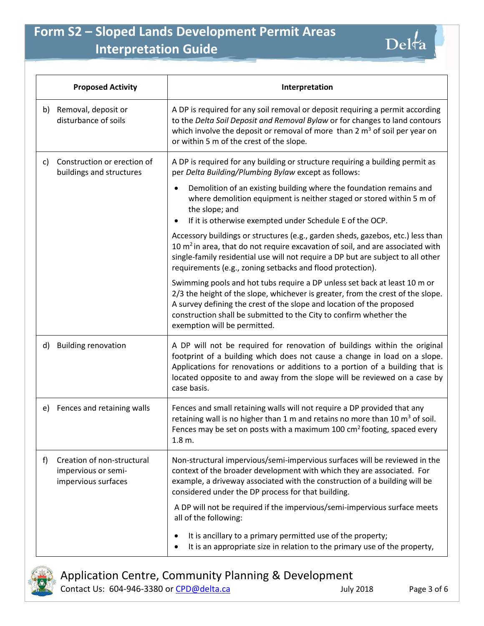

|    | <b>Proposed Activity</b>                                                 | Interpretation                                                                                                                                                                                                                                                                                                                              |
|----|--------------------------------------------------------------------------|---------------------------------------------------------------------------------------------------------------------------------------------------------------------------------------------------------------------------------------------------------------------------------------------------------------------------------------------|
| b) | Removal, deposit or<br>disturbance of soils                              | A DP is required for any soil removal or deposit requiring a permit according<br>to the Delta Soil Deposit and Removal Bylaw or for changes to land contours<br>which involve the deposit or removal of more than 2 $m3$ of soil per year on<br>or within 5 m of the crest of the slope.                                                    |
| C) | Construction or erection of<br>buildings and structures                  | A DP is required for any building or structure requiring a building permit as<br>per Delta Building/Plumbing Bylaw except as follows:                                                                                                                                                                                                       |
|    |                                                                          | Demolition of an existing building where the foundation remains and<br>where demolition equipment is neither staged or stored within 5 m of<br>the slope; and<br>If it is otherwise exempted under Schedule E of the OCP.<br>٠                                                                                                              |
|    |                                                                          | Accessory buildings or structures (e.g., garden sheds, gazebos, etc.) less than<br>10 $m2$ in area, that do not require excavation of soil, and are associated with<br>single-family residential use will not require a DP but are subject to all other<br>requirements (e.g., zoning setbacks and flood protection).                       |
|    |                                                                          | Swimming pools and hot tubs require a DP unless set back at least 10 m or<br>2/3 the height of the slope, whichever is greater, from the crest of the slope.<br>A survey defining the crest of the slope and location of the proposed<br>construction shall be submitted to the City to confirm whether the<br>exemption will be permitted. |
| d) | <b>Building renovation</b>                                               | A DP will not be required for renovation of buildings within the original<br>footprint of a building which does not cause a change in load on a slope.<br>Applications for renovations or additions to a portion of a building that is<br>located opposite to and away from the slope will be reviewed on a case by<br>case basis.          |
| e) | Fences and retaining walls                                               | Fences and small retaining walls will not require a DP provided that any<br>retaining wall is no higher than 1 m and retains no more than 10 $m3$ of soil.<br>Fences may be set on posts with a maximum 100 $\text{cm}^2$ footing, spaced every<br>1.8 m.                                                                                   |
| f) | Creation of non-structural<br>impervious or semi-<br>impervious surfaces | Non-structural impervious/semi-impervious surfaces will be reviewed in the<br>context of the broader development with which they are associated. For<br>example, a driveway associated with the construction of a building will be<br>considered under the DP process for that building.                                                    |
|    |                                                                          | A DP will not be required if the impervious/semi-impervious surface meets<br>all of the following:                                                                                                                                                                                                                                          |
|    |                                                                          | It is ancillary to a primary permitted use of the property;<br>It is an appropriate size in relation to the primary use of the property,                                                                                                                                                                                                    |



Application Centre, Community Planning & Development Contact Us: 604-946-3380 or [CPD@delta.ca](mailto:CPD@delta.ca) July 2018 Page 3 of 6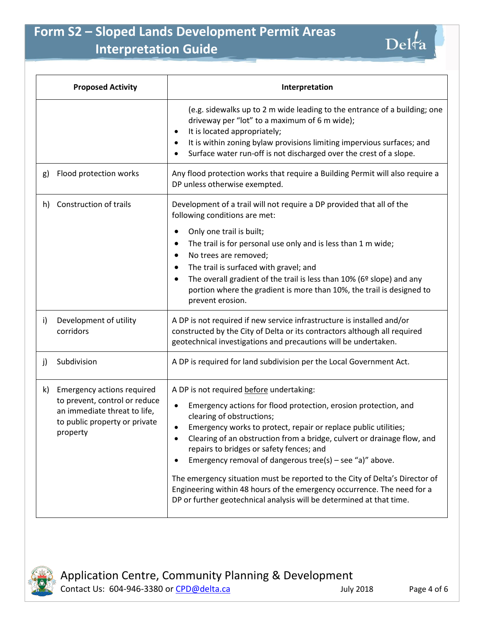

| <b>Proposed Activity</b> |                                                                                                                                                 | Interpretation                                                                                                                                                                                                                                                                                                                                                                                                                                                                                                                                                                                                                                  |
|--------------------------|-------------------------------------------------------------------------------------------------------------------------------------------------|-------------------------------------------------------------------------------------------------------------------------------------------------------------------------------------------------------------------------------------------------------------------------------------------------------------------------------------------------------------------------------------------------------------------------------------------------------------------------------------------------------------------------------------------------------------------------------------------------------------------------------------------------|
|                          |                                                                                                                                                 | (e.g. sidewalks up to 2 m wide leading to the entrance of a building; one<br>driveway per "lot" to a maximum of 6 m wide);<br>It is located appropriately;<br>$\bullet$<br>It is within zoning bylaw provisions limiting impervious surfaces; and<br>٠<br>Surface water run-off is not discharged over the crest of a slope.<br>$\bullet$                                                                                                                                                                                                                                                                                                       |
| g)                       | Flood protection works                                                                                                                          | Any flood protection works that require a Building Permit will also require a<br>DP unless otherwise exempted.                                                                                                                                                                                                                                                                                                                                                                                                                                                                                                                                  |
| h)                       | Construction of trails                                                                                                                          | Development of a trail will not require a DP provided that all of the<br>following conditions are met:                                                                                                                                                                                                                                                                                                                                                                                                                                                                                                                                          |
|                          |                                                                                                                                                 | Only one trail is built;<br>$\bullet$<br>The trail is for personal use only and is less than 1 m wide;<br>٠<br>No trees are removed;<br>٠<br>The trail is surfaced with gravel; and<br>٠<br>The overall gradient of the trail is less than $10\%$ (6 <sup>o</sup> slope) and any<br>٠<br>portion where the gradient is more than 10%, the trail is designed to<br>prevent erosion.                                                                                                                                                                                                                                                              |
| i)                       | Development of utility<br>corridors                                                                                                             | A DP is not required if new service infrastructure is installed and/or<br>constructed by the City of Delta or its contractors although all required<br>geotechnical investigations and precautions will be undertaken.                                                                                                                                                                                                                                                                                                                                                                                                                          |
| j)                       | Subdivision                                                                                                                                     | A DP is required for land subdivision per the Local Government Act.                                                                                                                                                                                                                                                                                                                                                                                                                                                                                                                                                                             |
| k)                       | <b>Emergency actions required</b><br>to prevent, control or reduce<br>an immediate threat to life,<br>to public property or private<br>property | A DP is not required before undertaking:<br>Emergency actions for flood protection, erosion protection, and<br>٠<br>clearing of obstructions;<br>Emergency works to protect, repair or replace public utilities;<br>Clearing of an obstruction from a bridge, culvert or drainage flow, and<br>٠<br>repairs to bridges or safety fences; and<br>Emergency removal of dangerous tree(s) – see "a)" above.<br>٠<br>The emergency situation must be reported to the City of Delta's Director of<br>Engineering within 48 hours of the emergency occurrence. The need for a<br>DP or further geotechnical analysis will be determined at that time. |

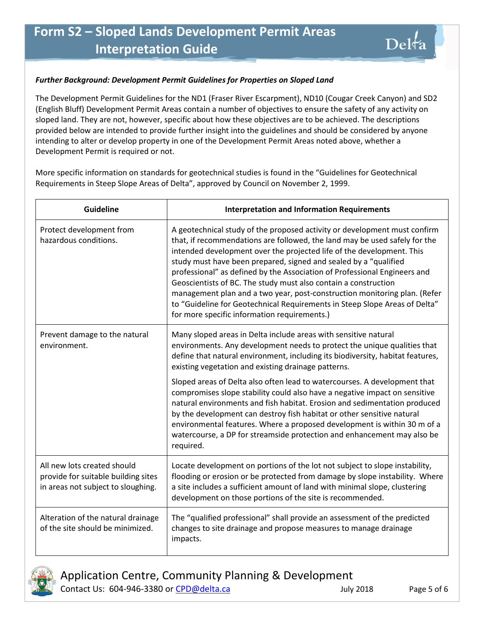#### *Further Background: Development Permit Guidelines for Properties on Sloped Land*

The Development Permit Guidelines for the ND1 (Fraser River Escarpment), ND10 (Cougar Creek Canyon) and SD2 (English Bluff) Development Permit Areas contain a number of objectives to ensure the safety of any activity on sloped land. They are not, however, specific about how these objectives are to be achieved. The descriptions provided below are intended to provide further insight into the guidelines and should be considered by anyone intending to alter or develop property in one of the Development Permit Areas noted above, whether a Development Permit is required or not.

More specific information on standards for geotechnical studies is found in the "Guidelines for Geotechnical Requirements in Steep Slope Areas of Delta", approved by Council on November 2, 1999.

| Guideline                                                                                                | <b>Interpretation and Information Requirements</b>                                                                                                                                                                                                                                                                                                                                                                                                                                                                                                                                                                                                              |
|----------------------------------------------------------------------------------------------------------|-----------------------------------------------------------------------------------------------------------------------------------------------------------------------------------------------------------------------------------------------------------------------------------------------------------------------------------------------------------------------------------------------------------------------------------------------------------------------------------------------------------------------------------------------------------------------------------------------------------------------------------------------------------------|
| Protect development from<br>hazardous conditions.                                                        | A geotechnical study of the proposed activity or development must confirm<br>that, if recommendations are followed, the land may be used safely for the<br>intended development over the projected life of the development. This<br>study must have been prepared, signed and sealed by a "qualified<br>professional" as defined by the Association of Professional Engineers and<br>Geoscientists of BC. The study must also contain a construction<br>management plan and a two year, post-construction monitoring plan. (Refer<br>to "Guideline for Geotechnical Requirements in Steep Slope Areas of Delta"<br>for more specific information requirements.) |
| Prevent damage to the natural<br>environment.                                                            | Many sloped areas in Delta include areas with sensitive natural<br>environments. Any development needs to protect the unique qualities that<br>define that natural environment, including its biodiversity, habitat features,<br>existing vegetation and existing drainage patterns.                                                                                                                                                                                                                                                                                                                                                                            |
|                                                                                                          | Sloped areas of Delta also often lead to watercourses. A development that<br>compromises slope stability could also have a negative impact on sensitive<br>natural environments and fish habitat. Erosion and sedimentation produced<br>by the development can destroy fish habitat or other sensitive natural<br>environmental features. Where a proposed development is within 30 m of a<br>watercourse, a DP for streamside protection and enhancement may also be<br>required.                                                                                                                                                                              |
| All new lots created should<br>provide for suitable building sites<br>in areas not subject to sloughing. | Locate development on portions of the lot not subject to slope instability,<br>flooding or erosion or be protected from damage by slope instability. Where<br>a site includes a sufficient amount of land with minimal slope, clustering<br>development on those portions of the site is recommended.                                                                                                                                                                                                                                                                                                                                                           |
| Alteration of the natural drainage<br>of the site should be minimized.                                   | The "qualified professional" shall provide an assessment of the predicted<br>changes to site drainage and propose measures to manage drainage<br>impacts.                                                                                                                                                                                                                                                                                                                                                                                                                                                                                                       |



Application Centre, Community Planning & Development Contact Us: 604-946-3380 or [CPD@delta.ca](mailto:CPD@delta.ca) July 2018 Page 5 of 6